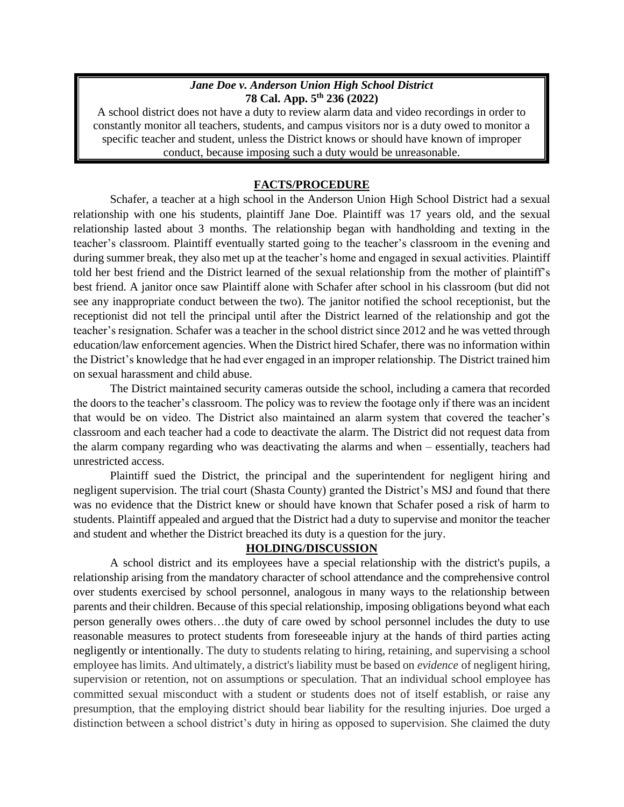## *Jane Doe v. Anderson Union High School District* **78 Cal. App. 5th 236 (2022)**

A school district does not have a duty to review alarm data and video recordings in order to constantly monitor all teachers, students, and campus visitors nor is a duty owed to monitor a specific teacher and student, unless the District knows or should have known of improper conduct, because imposing such a duty would be unreasonable.

## **FACTS/PROCEDURE**

Schafer, a teacher at a high school in the Anderson Union High School District had a sexual relationship with one his students, plaintiff Jane Doe. Plaintiff was 17 years old, and the sexual relationship lasted about 3 months. The relationship began with handholding and texting in the teacher's classroom. Plaintiff eventually started going to the teacher's classroom in the evening and during summer break, they also met up at the teacher's home and engaged in sexual activities. Plaintiff told her best friend and the District learned of the sexual relationship from the mother of plaintiff's best friend. A janitor once saw Plaintiff alone with Schafer after school in his classroom (but did not see any inappropriate conduct between the two). The janitor notified the school receptionist, but the receptionist did not tell the principal until after the District learned of the relationship and got the teacher's resignation. Schafer was a teacher in the school district since 2012 and he was vetted through education/law enforcement agencies. When the District hired Schafer, there was no information within the District's knowledge that he had ever engaged in an improper relationship. The District trained him on sexual harassment and child abuse.

The District maintained security cameras outside the school, including a camera that recorded the doors to the teacher's classroom. The policy was to review the footage only if there was an incident that would be on video. The District also maintained an alarm system that covered the teacher's classroom and each teacher had a code to deactivate the alarm. The District did not request data from the alarm company regarding who was deactivating the alarms and when – essentially, teachers had unrestricted access.

Plaintiff sued the District, the principal and the superintendent for negligent hiring and negligent supervision. The trial court (Shasta County) granted the District's MSJ and found that there was no evidence that the District knew or should have known that Schafer posed a risk of harm to students. Plaintiff appealed and argued that the District had a duty to supervise and monitor the teacher and student and whether the District breached its duty is a question for the jury.

## **HOLDING/DISCUSSION**

A school district and its employees have a special relationship with the district's pupils, a relationship arising from the mandatory character of school attendance and the comprehensive control over students exercised by school personnel, analogous in many ways to the relationship between parents and their children. Because of this special relationship, imposing obligations beyond what each person generally owes others…the duty of care owed by school personnel includes the duty to use reasonable measures to protect students from foreseeable injury at the hands of third parties acting negligently or intentionally. The duty to students relating to hiring, retaining, and supervising a school employee has limits. And ultimately, a district's liability must be based on *evidence* of negligent hiring, supervision or retention, not on assumptions or speculation. That an individual school employee has committed sexual misconduct with a student or students does not of itself establish, or raise any presumption, that the employing district should bear liability for the resulting injuries. Doe urged a distinction between a school district's duty in hiring as opposed to supervision. She claimed the duty